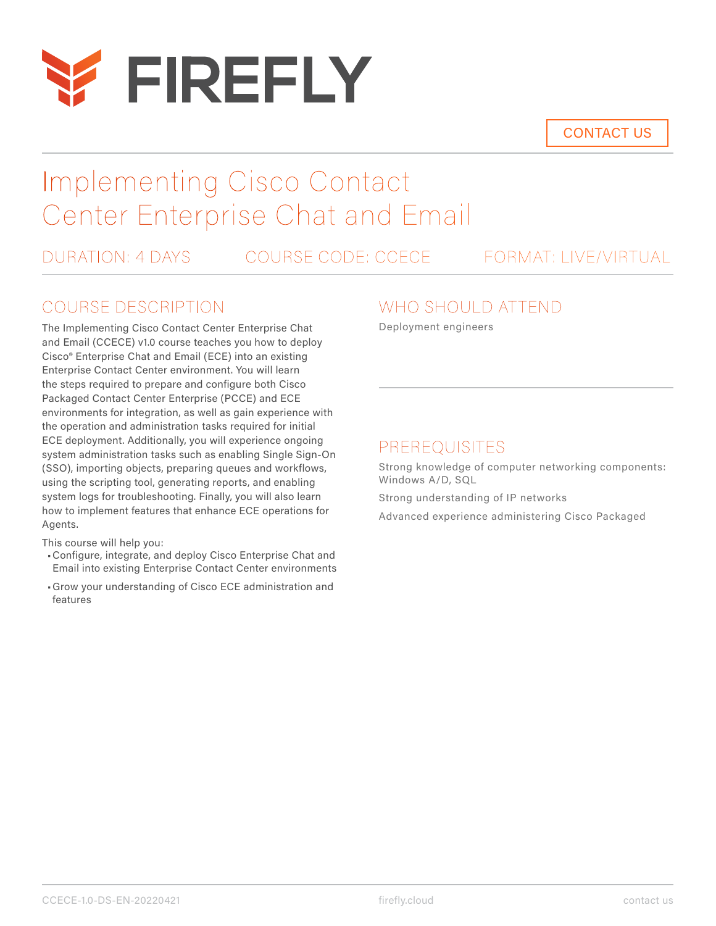

CONTACT US

# Implementing Cisco Contact Center Enterprise Chat and Email

DURATION: 4 DAYS COURSE CODE: CCECE FORMAT: LIVE/VIRTUAL

## COURSE DESCRIPTION

The Implementing Cisco Contact Center Enterprise Chat and Email (CCECE) v1.0 course teaches you how to deploy Cisco® Enterprise Chat and Email (ECE) into an existing Enterprise Contact Center environment. You will learn the steps required to prepare and configure both Cisco Packaged Contact Center Enterprise (PCCE) and ECE environments for integration, as well as gain experience with the operation and administration tasks required for initial ECE deployment. Additionally, you will experience ongoing system administration tasks such as enabling Single Sign-On (SSO), importing objects, preparing queues and workflows, using the scripting tool, generating reports, and enabling system logs for troubleshooting. Finally, you will also learn how to implement features that enhance ECE operations for Agents.

This course will help you:

- •Configure, integrate, and deploy Cisco Enterprise Chat and Email into existing Enterprise Contact Center environments
- •Grow your understanding of Cisco ECE administration and features

### WHO SHOULD ATTEND

Deployment engineers

### PREREQUISITES

Strong knowledge of computer networking components: Windows A/D, SQL

Strong understanding of IP networks

Advanced experience administering Cisco Packaged